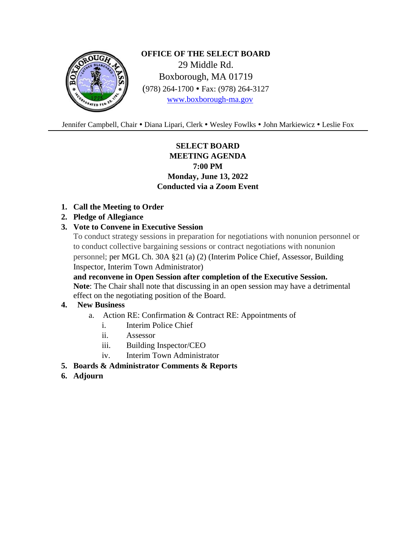

**OFFICE OF THE SELECT BOARD** 29 Middle Rd. Boxborough, MA 01719 (978) 264-1700 Fax: (978) 264-3127 [www.boxborough-ma.gov](http://www.boxborough-ma.gov/)

Jennifer Campbell, Chair . Diana Lipari, Clerk . Wesley Fowlks . John Markiewicz . Leslie Fox

# **SELECT BOARD MEETING AGENDA 7:00 PM Monday, June 13, 2022 Conducted via a Zoom Event**

**1. Call the Meeting to Order**

## **2. Pledge of Allegiance**

### **3. Vote to Convene in Executive Session**

To conduct strategy sessions in preparation for negotiations with nonunion personnel or to conduct collective bargaining sessions or contract negotiations with nonunion personnel; per MGL Ch. 30A §21 (a) (2) (Interim Police Chief, Assessor, Building Inspector, Interim Town Administrator)

 **and reconvene in Open Session after completion of the Executive Session. Note**: The Chair shall note that discussing in an open session may have a detrimental effect on the negotiating position of the Board.

## **4. New Business**

- a. Action RE: Confirmation & Contract RE: Appointments of
	- i. Interim Police Chief
	- ii. Assessor
	- iii. Building Inspector/CEO
	- iv. Interim Town Administrator
- **5. Boards & Administrator Comments & Reports**
- **6. Adjourn**